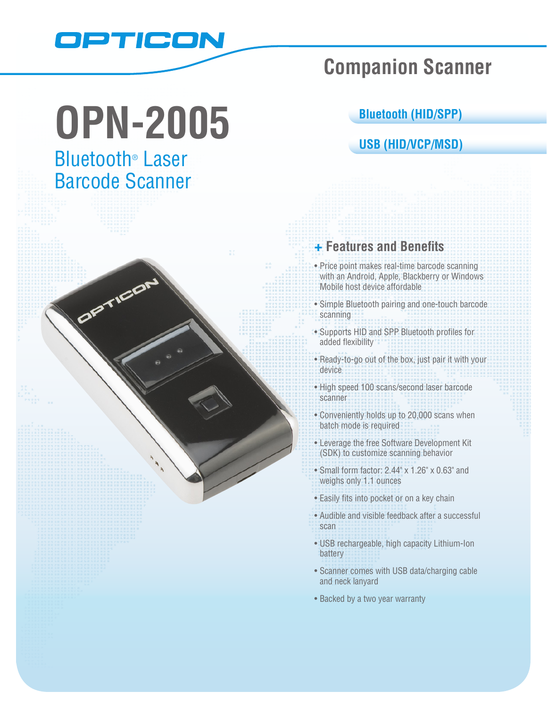

# **OPN-2005**

# Bluetooth® Laser Barcode Scanner

OPTICO

# **Companion Scanner**

### **Bluetooth (HID/SPP)**

## **USB (HID/VCP/MSD)**

# **+ Features and Benefits**

- Price point makes real-time barcode scanning with an Android, Apple, Blackberry or Windows Mobile host device affordable
- • Simple Bluetooth pairing and one-touch barcode scanning
- • Supports HID and SPP Bluetooth profiles for added flexibility
- Ready-to-go out of the box, just pair it with your device
- High speed 100 scans/second laser barcode scanner
- Conveniently holds up to 20,000 scans when batch mode is required
- • Leverage the free Software Development Kit (SDK) to customize scanning behavior
- Small form factor: 2.44" x 1.26" x 0.63" and weighs only 1.1 ounces
- Easily fits into pocket or on a key chain
- Audible and visible feedback after a successful scan
- • USB rechargeable, high capacity Lithium-Ion battery
- Scanner comes with USB data/charging cable and neck lanyard
- Backed by a two year warranty